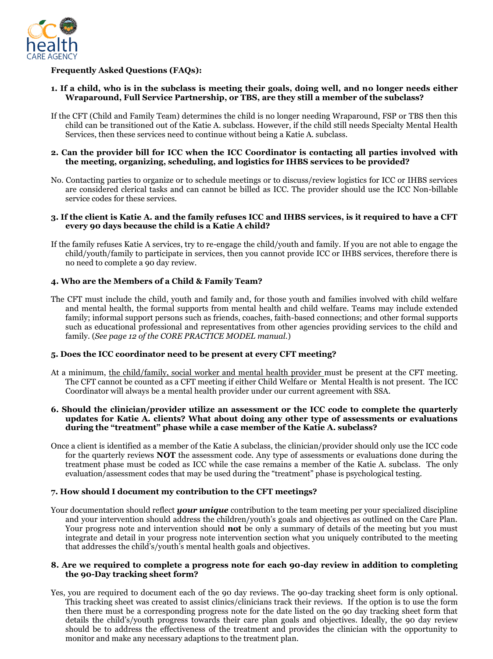

# **Frequently Asked Questions (FAQs):**

- **1. If a child, who is in the subclass is meeting their goals, doing well, and no longer needs either Wraparound, Full Service Partnership, or TBS, are they still a member of the subclass?**
- If the CFT (Child and Family Team) determines the child is no longer needing Wraparound, FSP or TBS then this child can be transitioned out of the Katie A. subclass. However, if the child still needs Specialty Mental Health Services, then these services need to continue without being a Katie A. subclass.

#### **2. Can the provider bill for ICC when the ICC Coordinator is contacting all parties involved with the meeting, organizing, scheduling, and logistics for IHBS services to be provided?**

No. Contacting parties to organize or to schedule meetings or to discuss/review logistics for ICC or IHBS services are considered clerical tasks and can cannot be billed as ICC. The provider should use the ICC Non-billable service codes for these services.

#### **3. If the client is Katie A. and the family refuses ICC and IHBS services, is it required to have a CFT every 90 days because the child is a Katie A child?**

If the family refuses Katie A services, try to re-engage the child/youth and family. If you are not able to engage the child/youth/family to participate in services, then you cannot provide ICC or IHBS services, therefore there is no need to complete a 90 day review.

## **4. Who are the Members of a Child & Family Team?**

The CFT must include the child, youth and family and, for those youth and families involved with child welfare and mental health, the formal supports from mental health and child welfare. Teams may include extended family; informal support persons such as friends, coaches, faith-based connections; and other formal supports such as educational professional and representatives from other agencies providing services to the child and family. (*See page 12 of the CORE PRACTICE MODEL manual.*)

### **5. Does the ICC coordinator need to be present at every CFT meeting?**

- At a minimum, the child/family, social worker and mental health provider must be present at the CFT meeting. The CFT cannot be counted as a CFT meeting if either Child Welfare or Mental Health is not present. The ICC Coordinator will always be a mental health provider under our current agreement with SSA.
- **6. Should the clinician/provider utilize an assessment or the ICC code to complete the quarterly updates for Katie A. clients? What about doing any other type of assessments or evaluations during the "treatment" phase while a case member of the Katie A. subclass?**
- Once a client is identified as a member of the Katie A subclass, the clinician/provider should only use the ICC code for the quarterly reviews **NOT** the assessment code. Any type of assessments or evaluations done during the treatment phase must be coded as ICC while the case remains a member of the Katie A. subclass. The only evaluation/assessment codes that may be used during the "treatment" phase is psychological testing.

### **7. How should I document my contribution to the CFT meetings?**

Your documentation should reflect *your unique* contribution to the team meeting per your specialized discipline and your intervention should address the children/youth's goals and objectives as outlined on the Care Plan. Your progress note and intervention should **not** be only a summary of details of the meeting but you must integrate and detail in your progress note intervention section what you uniquely contributed to the meeting that addresses the child's/youth's mental health goals and objectives.

#### **8. Are we required to complete a progress note for each 90-day review in addition to completing the 90-Day tracking sheet form?**

Yes, you are required to document each of the 90 day reviews. The 90-day tracking sheet form is only optional. This tracking sheet was created to assist clinics/clinicians track their reviews. If the option is to use the form then there must be a corresponding progress note for the date listed on the 90 day tracking sheet form that details the child's/youth progress towards their care plan goals and objectives. Ideally, the 90 day review should be to address the effectiveness of the treatment and provides the clinician with the opportunity to monitor and make any necessary adaptions to the treatment plan.